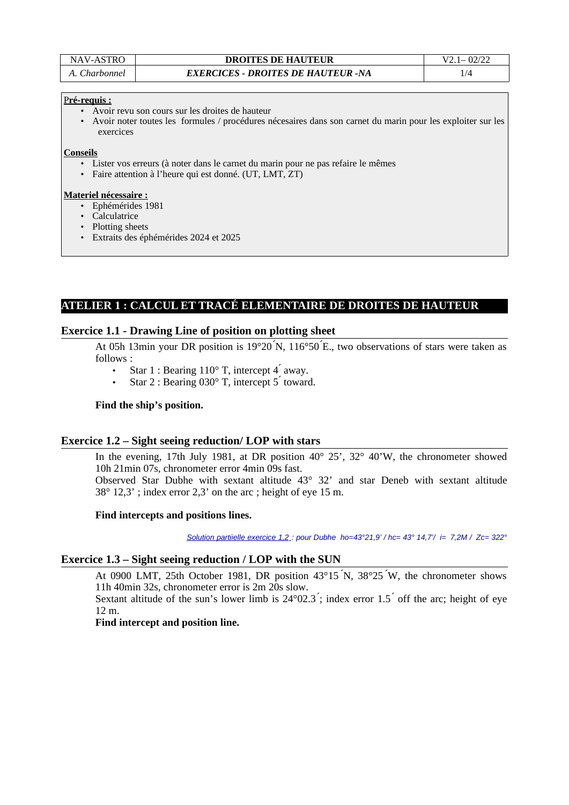| NAV-ASTRO     | <b>DROITES DE HAUTEUR</b>                 | $V2 = 02/22$ |
|---------------|-------------------------------------------|--------------|
| A. Charbonnel | <b>EXERCICES - DROITES DE HAUTEUR -NA</b> |              |

#### P **ré-requis :**

- Avoir revu son cours sur les droites de hauteur
- Avoir noter toutes les formules / procédures nécesaires dans son carnet du marin pour les exploiter sur les exercices

**Conseils**

- Lister vos erreurs (à noter dans le carnet du marin pour ne pas refaire le mêmes
- Faire attention à l'heure qui est donné. (UT, LMT, ZT)

#### **Materiel nécessaire :**

- Ephémérides 1981
- Calculatrice
- Plotting sheets
- Extraits des éphémérides 2024 et 2025

# **ATELIER 1 : CALCUL ET TRACÉ ELEMENTAIRE DE DROITES DE HAUTEUR**

### **Exercice 1.1 - Drawing Line of position on plotting sheet**

At 05h 13min your DR position is 19°20 ́N, 116°50 ́E., two observations of stars were taken as follows :

- Star 1 : Bearing  $110^{\circ}$  T, intercept 4 away.
- Star 2 : Bearing 030° T, intercept 5 toward.

#### **Find the ship's position.**

## **Exercice 1.2 – Sight seeing reduction/ LOP with stars**

In the evening, 17th July 1981, at DR position 40° 25', 32° 40'W, the chronometer showed 10h 21min 07s, chronometer error 4min 09s fast.

Observed Star Dubhe with sextant altitude 43° 32' and star Deneb with sextant altitude 38° 12,3' ; index error 2,3' on the arc ; height of eye 15 m.

#### **Find intercepts and positions lines.**

 *Solution partiielle exercice 1,2 : pour Dubhe ho=43°21,9' / hc= 43° 14,7'/ i= 7,2M / Zc= 322°*

## **Exercice 1.3 – Sight seeing reduction / LOP with the SUN**

At 0900 LMT, 25th October 1981, DR position 43°15 ́N, 38°25 ́W, the chronometer shows 11h 40min 32s, chronometer error is 2m 20s slow.

Sextant altitude of the sun's lower limb is  $24^{\circ}02.3$ ; index error  $1.5$  off the arc; height of eve 12 m.

## **Find intercept and position line.**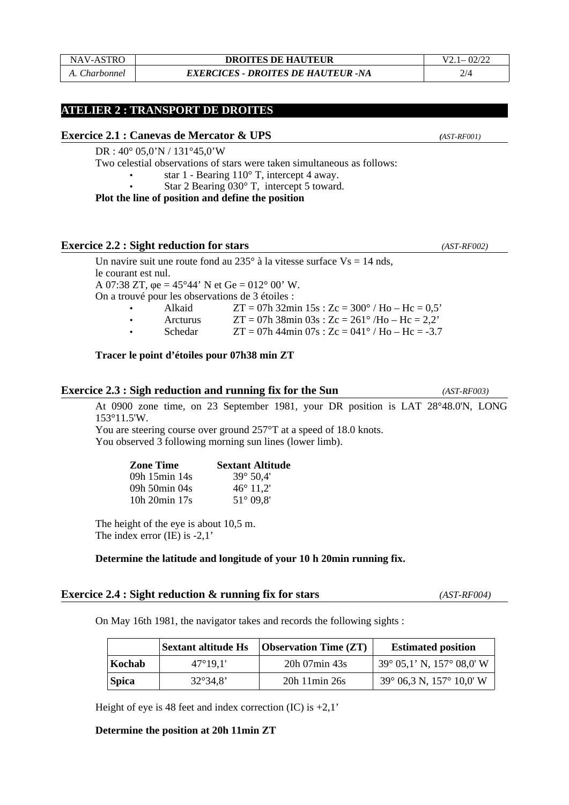## NAV-ASTRO **DROITES DE HAUTEUR** V2.1– 02/22 *A. Charbonnel EXERCICES - DROITES DE HAUTEUR -NA* 2/4

## **ATELIER 2 : TRANSPORT DE DROITES**

### **Exercice 2.1 : Canevas de Mercator & UPS** *(AST-RF001)*

DR : 40° 05,0'N / 131°45,0'W

Two celestial observations of stars were taken simultaneous as follows:

• star 1 - Bearing 110° T, intercept 4 away.

• Star 2 Bearing 030° T, intercept 5 toward.

**Plot the line of position and define the position**

### **Exercice 2.2 : Sight reduction for stars** *(AST-RF002)*

Un navire suit une route fond au 235 $^{\circ}$  à la vitesse surface  $Vs = 14$  nds, le courant est nul. A 07:38 ZT, φe = 45°44' N et Ge = 012° 00' W. On a trouvé pour les observations de 3 étoiles : • Alkaid ZT = 07h 32min 15s : Zc = 300° / Ho – Hc = 0,5' • Arcturus ZT = 07h 38min 03s : Zc = 261° /Ho – Hc = 2,2'

• Schedar  $ZT = 07h 44 \text{min } 07s$ :  $Zc = 041^\circ / H_0 - H_c = -3.7$ 

#### **Tracer le point d'étoiles pour 07h38 min ZT**

# **Exercice 2.3 : Sigh reduction and running fix for the Sun** *(AST-RF003)*

At 0900 zone time, on 23 September 1981, your DR position is LAT 28°48.0'N, LONG 153°11.5'W.

You are steering course over ground 257°T at a speed of 18.0 knots. You observed 3 following morning sun lines (lower limb).

| <b>Zone Time</b> | <b>Sextant Altitude</b> |
|------------------|-------------------------|
| 09h 15min 14s    | $39^{\circ} 50.4'$      |
| 09h 50min 04s    | $46^{\circ}$ 11,2'      |
| 10h 20min 17s    | $51^{\circ}$ 09.8'      |

The height of the eye is about 10,5 m. The index error (IE) is -2,1'

### **Determine the latitude and longitude of your 10 h 20min running fix.**

### **Exercice 2.4 : Sight reduction & running fix for stars** *(AST-RF004)*

On May 16th 1981, the navigator takes and records the following sights :

|              |                   | Sextant altitude Hs   Observation Time (ZT) | <b>Estimated position</b>                    |
|--------------|-------------------|---------------------------------------------|----------------------------------------------|
| Kochab       | $47^{\circ}19.1'$ | 20h 07min 43s                               | $39^{\circ}$ 05,1' N, 157 $^{\circ}$ 08,0' W |
| <i>Spica</i> | $32^{\circ}34.8'$ | 20h 11 min 26s                              | 39° 06,3 N, 157° 10,0' W                     |

Height of eye is 48 feet and index correction  $(IC)$  is  $+2.1'$ 

#### **Determine the position at 20h 11min ZT**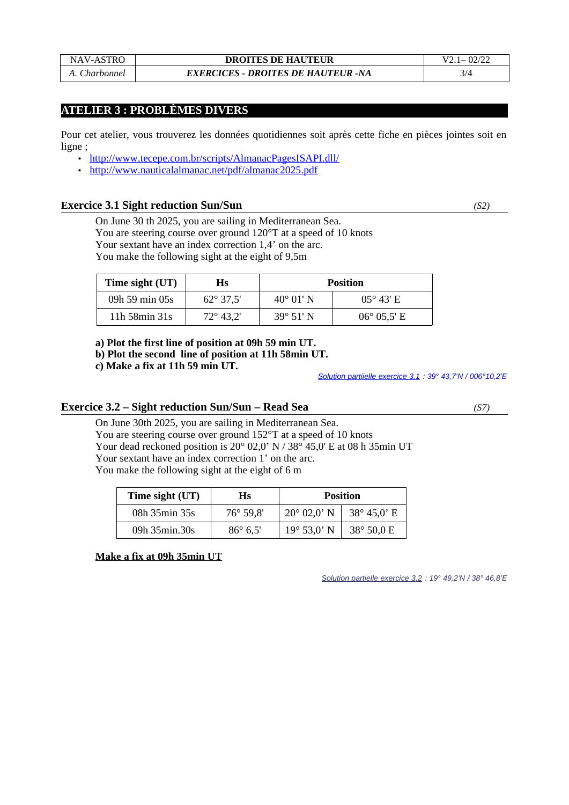## **ATELIER 3 : PROBLÈMES DIVERS**

Pour cet atelier, vous trouverez les données quotidiennes soit après cette fiche en pièces jointes soit en ligne ;

- •<http://www.tecepe.com.br/scripts/AlmanacPagesISAPI.dll/>
- <http://www.nauticalalmanac.net/pdf/almanac2025.pdf>

#### **Exercice 3.1 Sight reduction Sun/Sun** *(S2)*

On June 30 th 2025, you are sailing in Mediterranean Sea. You are steering course over ground 120°T at a speed of 10 knots Your sextant have an index correction 1,4' on the arc. You make the following sight at the eight of 9,5m

| Time sight (UT) | Нs                 | <b>Position</b>    |                      |
|-----------------|--------------------|--------------------|----------------------|
| 09h 59 min 05s  | $62^{\circ}$ 37,5' | $40^{\circ}$ 01' N | $05^{\circ}$ 43' E   |
| 11h 58min 31s   | $72^{\circ}$ 43.2' | $39^{\circ}$ 51' N | $06^{\circ}$ 05,5' E |

**a) Plot the first line of position at 09h 59 min UT.**

**b) Plot the second line of position at 11h 58min UT.**

**c) Make a fix at 11h 59 min UT.**

*Solution partiielle exercice 3.1 : 39° 43,7'N / 006°10,2'E*

### **Exercice 3.2 – Sight reduction Sun/Sun – Read Sea** *(S7)*

On June 30th 2025, you are sailing in Mediterranean Sea. You are steering course over ground 152°T at a speed of 10 knots Your dead reckoned position is 20° 02,0' N / 38° 45,0' E at 08 h 35min UT Your sextant have an index correction 1' on the arc. You make the following sight at the eight of 6 m

| Time sight (UT) | Hs                 |                      | <b>Position</b>       |
|-----------------|--------------------|----------------------|-----------------------|
| 08h 35min 35s   | $76^{\circ} 59.8'$ | $20^{\circ}$ 02.0' N | 38 $^{\circ}$ 45,0' E |
| 09h 35min.30s   | $86^{\circ}$ 6.5'  | $19^{\circ}$ 53,0' N | $38^{\circ} 50,0 E$   |

**Make a fix at 09h 35min UT**

 *Solution partielle exercice 3.2 : 19° 49,2'N / 38° 46,8'E*